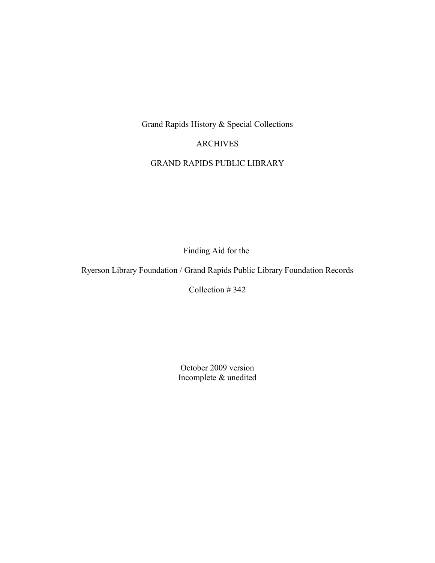Grand Rapids History & Special Collections

#### ARCHIVES

## GRAND RAPIDS PUBLIC LIBRARY

Finding Aid for the

Ryerson Library Foundation / Grand Rapids Public Library Foundation Records

Collection # 342

October 2009 version Incomplete & unedited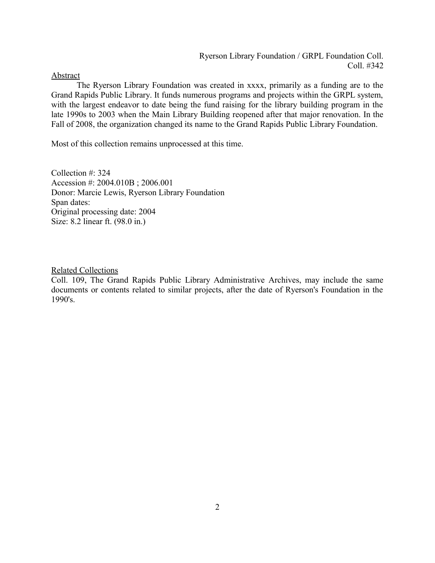#### Abstract

The Ryerson Library Foundation was created in xxxx, primarily as a funding are to the Grand Rapids Public Library. It funds numerous programs and projects within the GRPL system, with the largest endeavor to date being the fund raising for the library building program in the late 1990s to 2003 when the Main Library Building reopened after that major renovation. In the Fall of 2008, the organization changed its name to the Grand Rapids Public Library Foundation.

Most of this collection remains unprocessed at this time.

Collection #: 324 Accession #: 2004.010B ; 2006.001 Donor: Marcie Lewis, Ryerson Library Foundation Span dates: Original processing date: 2004 Size: 8.2 linear ft. (98.0 in.)

Related Collections

Coll. 109, The Grand Rapids Public Library Administrative Archives, may include the same documents or contents related to similar projects, after the date of Ryerson's Foundation in the 1990's.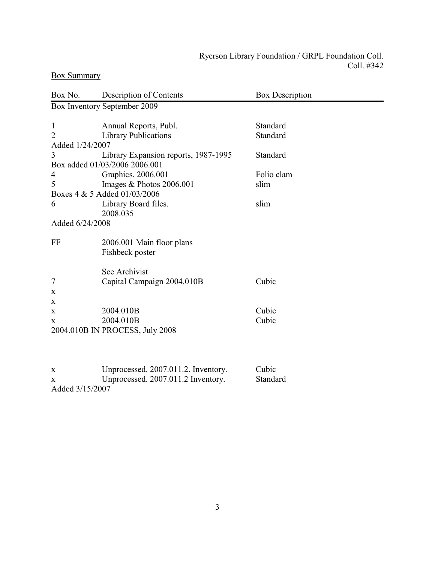| Box Summary |
|-------------|
|             |

|                              | <b>Box Description</b>                                                                                                                                                                                                                                                                                                                                  |  |  |
|------------------------------|---------------------------------------------------------------------------------------------------------------------------------------------------------------------------------------------------------------------------------------------------------------------------------------------------------------------------------------------------------|--|--|
| Box Inventory September 2009 |                                                                                                                                                                                                                                                                                                                                                         |  |  |
|                              |                                                                                                                                                                                                                                                                                                                                                         |  |  |
|                              | Standard                                                                                                                                                                                                                                                                                                                                                |  |  |
|                              | Standard                                                                                                                                                                                                                                                                                                                                                |  |  |
|                              |                                                                                                                                                                                                                                                                                                                                                         |  |  |
|                              | Standard                                                                                                                                                                                                                                                                                                                                                |  |  |
|                              |                                                                                                                                                                                                                                                                                                                                                         |  |  |
| Graphics. 2006.001           | Folio clam                                                                                                                                                                                                                                                                                                                                              |  |  |
|                              | slim                                                                                                                                                                                                                                                                                                                                                    |  |  |
| Boxes 4 & 5 Added 01/03/2006 |                                                                                                                                                                                                                                                                                                                                                         |  |  |
|                              | slim                                                                                                                                                                                                                                                                                                                                                    |  |  |
| 2008.035                     |                                                                                                                                                                                                                                                                                                                                                         |  |  |
|                              |                                                                                                                                                                                                                                                                                                                                                         |  |  |
|                              |                                                                                                                                                                                                                                                                                                                                                         |  |  |
|                              |                                                                                                                                                                                                                                                                                                                                                         |  |  |
|                              |                                                                                                                                                                                                                                                                                                                                                         |  |  |
|                              |                                                                                                                                                                                                                                                                                                                                                         |  |  |
| See Archivist                |                                                                                                                                                                                                                                                                                                                                                         |  |  |
|                              | Cubic                                                                                                                                                                                                                                                                                                                                                   |  |  |
|                              |                                                                                                                                                                                                                                                                                                                                                         |  |  |
|                              |                                                                                                                                                                                                                                                                                                                                                         |  |  |
|                              | Cubic                                                                                                                                                                                                                                                                                                                                                   |  |  |
|                              | Cubic                                                                                                                                                                                                                                                                                                                                                   |  |  |
|                              |                                                                                                                                                                                                                                                                                                                                                         |  |  |
|                              |                                                                                                                                                                                                                                                                                                                                                         |  |  |
|                              |                                                                                                                                                                                                                                                                                                                                                         |  |  |
|                              |                                                                                                                                                                                                                                                                                                                                                         |  |  |
|                              | Description of Contents<br>Annual Reports, Publ.<br><b>Library Publications</b><br>Library Expansion reports, 1987-1995<br>Box added 01/03/2006 2006.001<br>Images & Photos 2006.001<br>Library Board files.<br>2006.001 Main floor plans<br>Fishbeck poster<br>Capital Campaign 2004.010B<br>2004.010B<br>2004.010B<br>2004.010B IN PROCESS, July 2008 |  |  |

| $\mathbf X$     | Unprocessed. 2007.011.2. Inventory. | Cubic    |
|-----------------|-------------------------------------|----------|
| $\mathbf{x}$    | Unprocessed. 2007.011.2 Inventory.  | Standard |
| Added 3/15/2007 |                                     |          |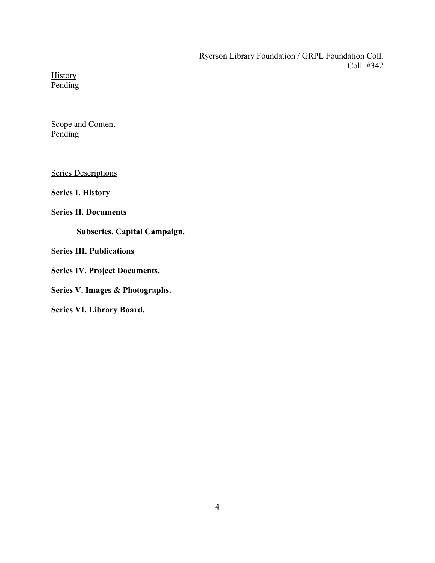**History** Pending

Scope and Content Pending

Series Descriptions

**Series I. History**

### **Series II. Documents**

**Subseries. Capital Campaign.**

#### **Series III. Publications**

**Series IV. Project Documents.**

**Series V. Images & Photographs.**

**Series VI. Library Board.**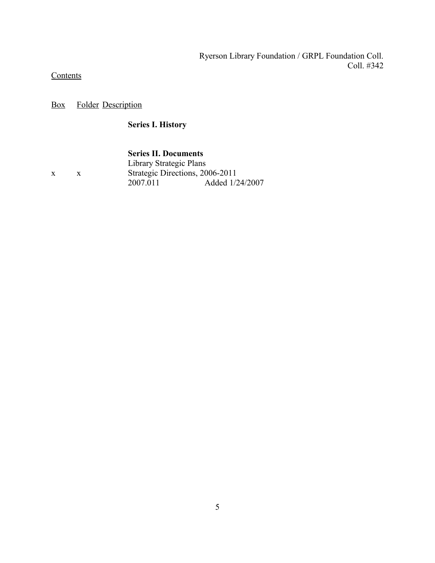**Contents** 

Box Folder Description

### **Series I. History**

**Series II. Documents** Library Strategic Plans x x Strategic Directions, 2006-2011<br>2007.011 Added 1/2 Added 1/24/2007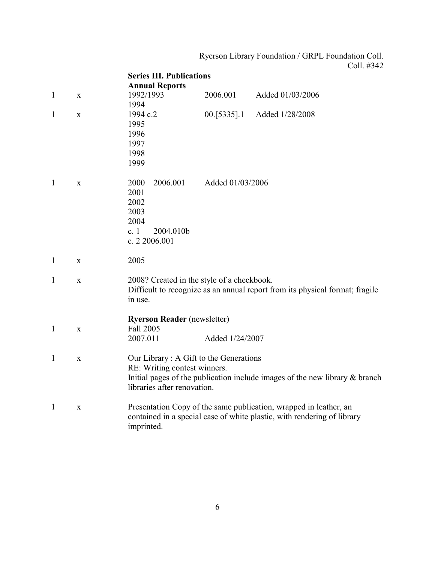|              |             | <b>Series III. Publications</b>                                                                       |                  |                                                                                                                                              |
|--------------|-------------|-------------------------------------------------------------------------------------------------------|------------------|----------------------------------------------------------------------------------------------------------------------------------------------|
|              |             | <b>Annual Reports</b>                                                                                 |                  |                                                                                                                                              |
| $\mathbf{1}$ | $\mathbf X$ | 1992/1993<br>1994                                                                                     | 2006.001         | Added 01/03/2006                                                                                                                             |
| 1            | $\mathbf X$ | 1994 c.2<br>1995<br>1996<br>1997<br>1998<br>1999                                                      | $00.$ [5335].1   | Added 1/28/2008                                                                                                                              |
| $\mathbf{1}$ | X           | 2006.001<br>2000<br>2001<br>2002<br>2003<br>2004<br>c.1<br>2004.010b<br>c. 2 2006.001                 | Added 01/03/2006 |                                                                                                                                              |
| $\mathbf{1}$ | X           | 2005                                                                                                  |                  |                                                                                                                                              |
| $\mathbf{1}$ | $\mathbf X$ | 2008? Created in the style of a checkbook.<br>in use.                                                 |                  | Difficult to recognize as an annual report from its physical format; fragile                                                                 |
|              |             | <b>Ryerson Reader (newsletter)</b>                                                                    |                  |                                                                                                                                              |
| $\mathbf{1}$ | $\mathbf X$ | Fall 2005<br>2007.011                                                                                 | Added 1/24/2007  |                                                                                                                                              |
|              |             |                                                                                                       |                  |                                                                                                                                              |
| 1            | $\mathbf X$ | Our Library: A Gift to the Generations<br>RE: Writing contest winners.<br>libraries after renovation. |                  | Initial pages of the publication include images of the new library $\&$ branch                                                               |
| $\mathbf{1}$ | $\mathbf X$ | imprinted.                                                                                            |                  | Presentation Copy of the same publication, wrapped in leather, an<br>contained in a special case of white plastic, with rendering of library |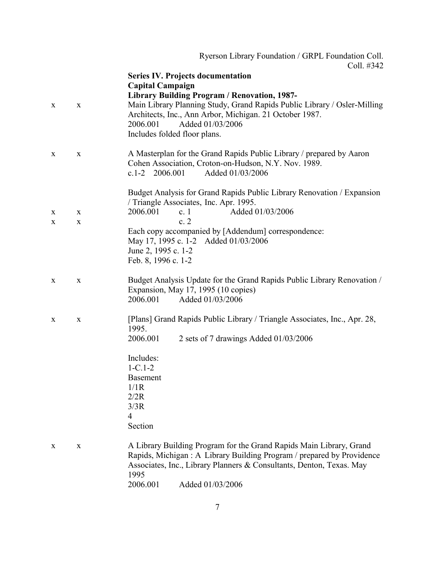|        |             | Ryerson Library Foundation / GRPL Foundation Coll.<br>Coll. #342                                                                                                                                                                                                                                                           |
|--------|-------------|----------------------------------------------------------------------------------------------------------------------------------------------------------------------------------------------------------------------------------------------------------------------------------------------------------------------------|
| X      | $\mathbf X$ | <b>Series IV. Projects documentation</b><br><b>Capital Campaign</b><br>Library Building Program / Renovation, 1987-<br>Main Library Planning Study, Grand Rapids Public Library / Osler-Milling<br>Architects, Inc., Ann Arbor, Michigan. 21 October 1987.<br>2006.001<br>Added 01/03/2006<br>Includes folded floor plans. |
| X      | X           | A Masterplan for the Grand Rapids Public Library / prepared by Aaron<br>Cohen Association, Croton-on-Hudson, N.Y. Nov. 1989.<br>c.1-2 $2006.001$<br>Added 01/03/2006                                                                                                                                                       |
| X<br>X | X<br>X      | Budget Analysis for Grand Rapids Public Library Renovation / Expansion<br>/ Triangle Associates, Inc. Apr. 1995.<br>2006.001<br>Added 01/03/2006<br>c.1<br>c <sub>2</sub><br>Each copy accompanied by [Addendum] correspondence:<br>May 17, 1995 c. 1-2 Added 01/03/2006<br>June 2, 1995 c. 1-2<br>Feb. 8, 1996 c. 1-2     |
| X      | $\mathbf X$ | Budget Analysis Update for the Grand Rapids Public Library Renovation /<br>Expansion, May 17, 1995 (10 copies)<br>2006.001<br>Added 01/03/2006                                                                                                                                                                             |
| X      | $\mathbf X$ | [Plans] Grand Rapids Public Library / Triangle Associates, Inc., Apr. 28,<br>1995.<br>2006.001<br>2 sets of 7 drawings Added 01/03/2006<br>Includes:<br>$1 - C.1 - 2$<br><b>Basement</b><br>1/1R<br>2/2R<br>3/3R<br>$\overline{4}$<br>Section                                                                              |
| X      | $\mathbf X$ | A Library Building Program for the Grand Rapids Main Library, Grand<br>Rapids, Michigan: A Library Building Program / prepared by Providence<br>Associates, Inc., Library Planners & Consultants, Denton, Texas. May<br>1995<br>2006.001<br>Added 01/03/2006                                                               |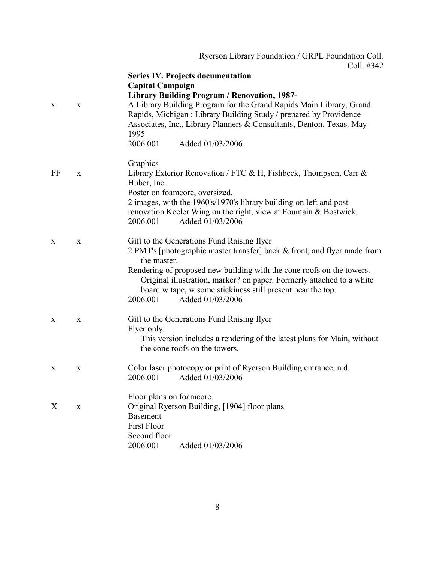|             |             | Ryerson Library Foundation / GRPL Foundation Coll.<br>Coll. #342                                                                                                                                                                                                                                                                                                                       |
|-------------|-------------|----------------------------------------------------------------------------------------------------------------------------------------------------------------------------------------------------------------------------------------------------------------------------------------------------------------------------------------------------------------------------------------|
|             |             | <b>Series IV. Projects documentation</b>                                                                                                                                                                                                                                                                                                                                               |
| X           | $\mathbf X$ | <b>Capital Campaign</b><br>Library Building Program / Renovation, 1987-<br>A Library Building Program for the Grand Rapids Main Library, Grand<br>Rapids, Michigan: Library Building Study / prepared by Providence<br>Associates, Inc., Library Planners & Consultants, Denton, Texas. May<br>1995<br>2006.001<br>Added 01/03/2006                                                    |
| FF          | $\mathbf X$ | Graphics<br>Library Exterior Renovation / FTC & H, Fishbeck, Thompson, Carr &<br>Huber, Inc.<br>Poster on foamcore, oversized.<br>2 images, with the 1960's/1970's library building on left and post<br>renovation Keeler Wing on the right, view at Fountain & Bostwick.<br>Added 01/03/2006<br>2006.001                                                                              |
| X           | $\mathbf X$ | Gift to the Generations Fund Raising flyer<br>2 PMT's [photographic master transfer] back & front, and flyer made from<br>the master.<br>Rendering of proposed new building with the cone roofs on the towers.<br>Original illustration, marker? on paper. Formerly attached to a white<br>board w tape, w some stickiness still present near the top.<br>Added 01/03/2006<br>2006.001 |
| X           | $\mathbf X$ | Gift to the Generations Fund Raising flyer<br>Flyer only.<br>This version includes a rendering of the latest plans for Main, without<br>the cone roofs on the towers.                                                                                                                                                                                                                  |
| $\mathbf X$ | $\mathbf X$ | Color laser photocopy or print of Ryerson Building entrance, n.d.<br>2006.001<br>Added 01/03/2006                                                                                                                                                                                                                                                                                      |
| X           | $\mathbf X$ | Floor plans on foamcore.<br>Original Ryerson Building, [1904] floor plans<br><b>Basement</b><br><b>First Floor</b><br>Second floor<br>2006.001<br>Added 01/03/2006                                                                                                                                                                                                                     |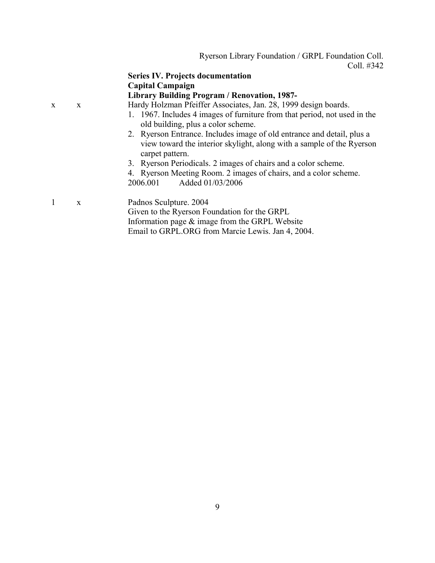#### **Series IV. Projects documentation Capital Campaign Library Building Program / Renovation, 1987** x x Hardy Holzman Pfeiffer Associates, Jan. 28, 1999 design boards. 1. 1967. Includes 4 images of furniture from that period, not used in the old building, plus a color scheme. 2. Ryerson Entrance. Includes image of old entrance and detail, plus a view toward the interior skylight, along with a sample of the Ryerson carpet pattern. 3. Ryerson Periodicals. 2 images of chairs and a color scheme. 4. Ryerson Meeting Room. 2 images of chairs, and a color scheme. 2006.001 Added 01/03/2006

1 x Padnos Sculpture. 2004 Given to the Ryerson Foundation for the GRPL Information page & image from the GRPL Website Email to GRPL.ORG from Marcie Lewis. Jan 4, 2004.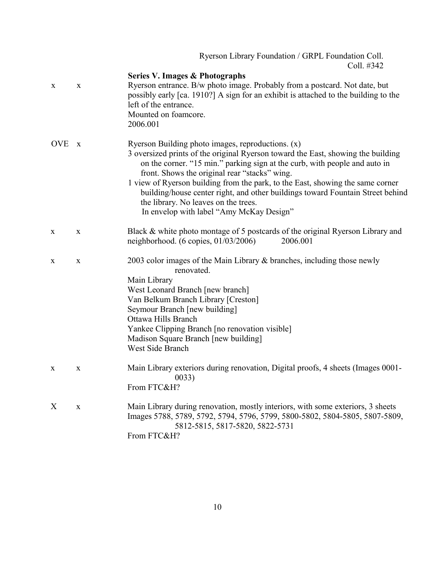| X           | $\mathbf X$  | Series V. Images & Photographs<br>Ryerson entrance. B/w photo image. Probably from a postcard. Not date, but<br>possibly early [ca. 1910?] A sign for an exhibit is attached to the building to the<br>left of the entrance.<br>Mounted on foamcore.<br>2006.001                                                                                                                                                                                                                                                             |
|-------------|--------------|------------------------------------------------------------------------------------------------------------------------------------------------------------------------------------------------------------------------------------------------------------------------------------------------------------------------------------------------------------------------------------------------------------------------------------------------------------------------------------------------------------------------------|
| <b>OVE</b>  | $\mathbf{X}$ | Ryerson Building photo images, reproductions. (x)<br>3 oversized prints of the original Ryerson toward the East, showing the building<br>on the corner. "15 min." parking sign at the curb, with people and auto in<br>front. Shows the original rear "stacks" wing.<br>1 view of Ryerson building from the park, to the East, showing the same corner<br>building/house center right, and other buildings toward Fountain Street behind<br>the library. No leaves on the trees.<br>In envelop with label "Amy McKay Design" |
| X           | $\mathbf X$  | Black & white photo montage of 5 postcards of the original Ryerson Library and<br>neighborhood. (6 copies, $01/03/2006$ )<br>2006.001                                                                                                                                                                                                                                                                                                                                                                                        |
| X           | $\mathbf X$  | 2003 color images of the Main Library $\&$ branches, including those newly<br>renovated.<br>Main Library<br>West Leonard Branch [new branch]<br>Van Belkum Branch Library [Creston]<br>Seymour Branch [new building]<br><b>Ottawa Hills Branch</b><br>Yankee Clipping Branch [no renovation visible]<br>Madison Square Branch [new building]<br>West Side Branch                                                                                                                                                             |
| $\mathbf X$ | X            | Main Library exteriors during renovation, Digital proofs, 4 sheets (Images 0001-<br>0033)<br>From FTC&H?                                                                                                                                                                                                                                                                                                                                                                                                                     |
| X           | $\mathbf X$  | Main Library during renovation, mostly interiors, with some exteriors, 3 sheets<br>Images 5788, 5789, 5792, 5794, 5796, 5799, 5800-5802, 5804-5805, 5807-5809,<br>5812-5815, 5817-5820, 5822-5731<br>From FTC&H?                                                                                                                                                                                                                                                                                                             |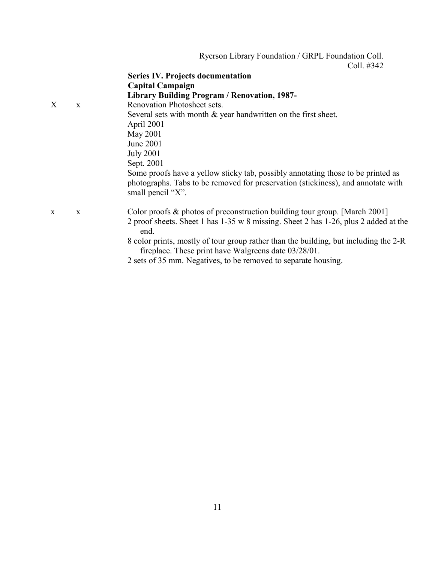|              |              | <b>Series IV. Projects documentation</b>                                                                                                                                                  |
|--------------|--------------|-------------------------------------------------------------------------------------------------------------------------------------------------------------------------------------------|
|              |              | <b>Capital Campaign</b>                                                                                                                                                                   |
|              |              | Library Building Program / Renovation, 1987-                                                                                                                                              |
| X            | X            | Renovation Photosheet sets.                                                                                                                                                               |
|              |              | Several sets with month $\&$ year handwritten on the first sheet.                                                                                                                         |
|              |              | April 2001                                                                                                                                                                                |
|              |              | May 2001                                                                                                                                                                                  |
|              |              | June 2001                                                                                                                                                                                 |
|              |              | <b>July 2001</b>                                                                                                                                                                          |
|              |              | Sept. 2001                                                                                                                                                                                |
|              |              | Some proofs have a yellow sticky tab, possibly annotating those to be printed as<br>photographs. Tabs to be removed for preservation (stickiness), and annotate with<br>small pencil "X". |
| $\mathbf{X}$ | $\mathbf{x}$ | Color proofs $\&$ photos of preconstruction building tour group. [March 2001]<br>2 proof sheets. Sheet 1 has 1-35 w 8 missing. Sheet 2 has 1-26, plus 2 added at the<br>end.              |
|              |              | 8 color prints, mostly of tour group rather than the building, but including the 2-R<br>fireplace. These print have Walgreens date 03/28/01.                                              |
|              |              | 2 sets of 35 mm. Negatives, to be removed to separate housing.                                                                                                                            |
|              |              |                                                                                                                                                                                           |